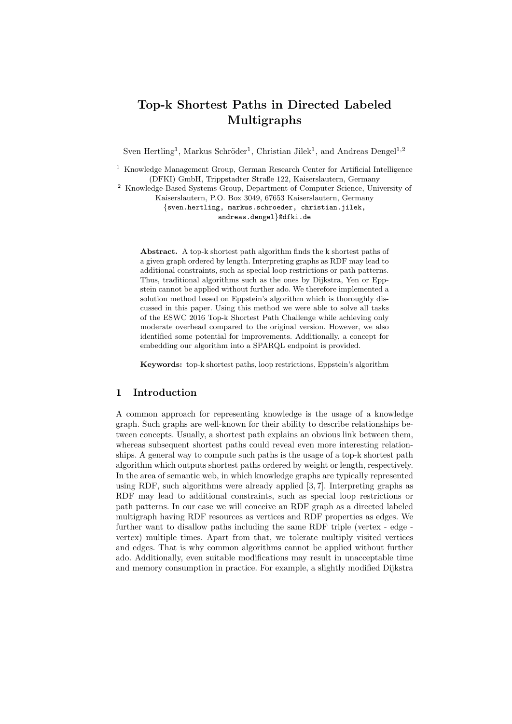# Top-k Shortest Paths in Directed Labeled Multigraphs

Sven Hertling<sup>1</sup>, Markus Schröder<sup>1</sup>, Christian Jilek<sup>1</sup>, and Andreas Dengel<sup>1,2</sup>

<sup>1</sup> Knowledge Management Group, German Research Center for Artificial Intelligence (DFKI) GmbH, Trippstadter Straße 122, Kaiserslautern, Germany

<sup>2</sup> Knowledge-Based Systems Group, Department of Computer Science, University of Kaiserslautern, P.O. Box 3049, 67653 Kaiserslautern, Germany {sven.hertling, markus.schroeder, christian.jilek, andreas.dengel}@dfki.de

Abstract. A top-k shortest path algorithm finds the k shortest paths of a given graph ordered by length. Interpreting graphs as RDF may lead to additional constraints, such as special loop restrictions or path patterns. Thus, traditional algorithms such as the ones by Dijkstra, Yen or Eppstein cannot be applied without further ado. We therefore implemented a solution method based on Eppstein's algorithm which is thoroughly discussed in this paper. Using this method we were able to solve all tasks of the ESWC 2016 Top-k Shortest Path Challenge while achieving only moderate overhead compared to the original version. However, we also identified some potential for improvements. Additionally, a concept for embedding our algorithm into a SPARQL endpoint is provided.

Keywords: top-k shortest paths, loop restrictions, Eppstein's algorithm

# 1 Introduction

A common approach for representing knowledge is the usage of a knowledge graph. Such graphs are well-known for their ability to describe relationships between concepts. Usually, a shortest path explains an obvious link between them, whereas subsequent shortest paths could reveal even more interesting relationships. A general way to compute such paths is the usage of a top-k shortest path algorithm which outputs shortest paths ordered by weight or length, respectively. In the area of semantic web, in which knowledge graphs are typically represented using RDF, such algorithms were already applied [3, 7]. Interpreting graphs as RDF may lead to additional constraints, such as special loop restrictions or path patterns. In our case we will conceive an RDF graph as a directed labeled multigraph having RDF resources as vertices and RDF properties as edges. We further want to disallow paths including the same RDF triple (vertex - edge vertex) multiple times. Apart from that, we tolerate multiply visited vertices and edges. That is why common algorithms cannot be applied without further ado. Additionally, even suitable modifications may result in unacceptable time and memory consumption in practice. For example, a slightly modified Dijkstra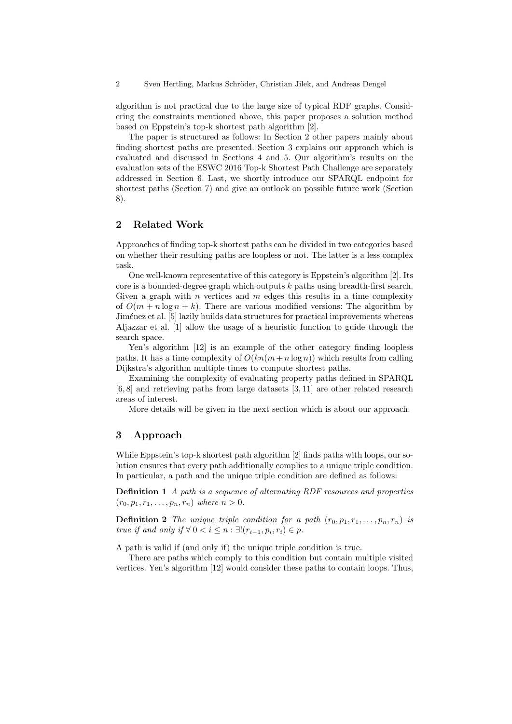algorithm is not practical due to the large size of typical RDF graphs. Considering the constraints mentioned above, this paper proposes a solution method based on Eppstein's top-k shortest path algorithm [2].

The paper is structured as follows: In Section 2 other papers mainly about finding shortest paths are presented. Section 3 explains our approach which is evaluated and discussed in Sections 4 and 5. Our algorithm's results on the evaluation sets of the ESWC 2016 Top-k Shortest Path Challenge are separately addressed in Section 6. Last, we shortly introduce our SPARQL endpoint for shortest paths (Section 7) and give an outlook on possible future work (Section 8).

# 2 Related Work

Approaches of finding top-k shortest paths can be divided in two categories based on whether their resulting paths are loopless or not. The latter is a less complex task.

One well-known representative of this category is Eppstein's algorithm [2]. Its core is a bounded-degree graph which outputs k paths using breadth-first search. Given a graph with  $n$  vertices and  $m$  edges this results in a time complexity of  $O(m + n \log n + k)$ . There are various modified versions: The algorithm by Jiménez et al. [5] lazily builds data structures for practical improvements whereas Aljazzar et al. [1] allow the usage of a heuristic function to guide through the search space.

Yen's algorithm [12] is an example of the other category finding loopless paths. It has a time complexity of  $O(kn(m+n\log n))$  which results from calling Dijkstra's algorithm multiple times to compute shortest paths.

Examining the complexity of evaluating property paths defined in SPARQL [6, 8] and retrieving paths from large datasets [3, 11] are other related research areas of interest.

More details will be given in the next section which is about our approach.

#### 3 Approach

While Eppstein's top-k shortest path algorithm [2] finds paths with loops, our solution ensures that every path additionally complies to a unique triple condition. In particular, a path and the unique triple condition are defined as follows:

Definition 1 A path is a sequence of alternating RDF resources and properties  $(r_0, p_1, r_1, \ldots, p_n, r_n)$  where  $n > 0$ .

**Definition 2** The unique triple condition for a path  $(r_0, p_1, r_1, \ldots, p_n, r_n)$  is true if and only if  $\forall 0 < i \leq n : \exists! (r_{i-1}, p_i, r_i) \in p$ .

A path is valid if (and only if) the unique triple condition is true.

There are paths which comply to this condition but contain multiple visited vertices. Yen's algorithm [12] would consider these paths to contain loops. Thus,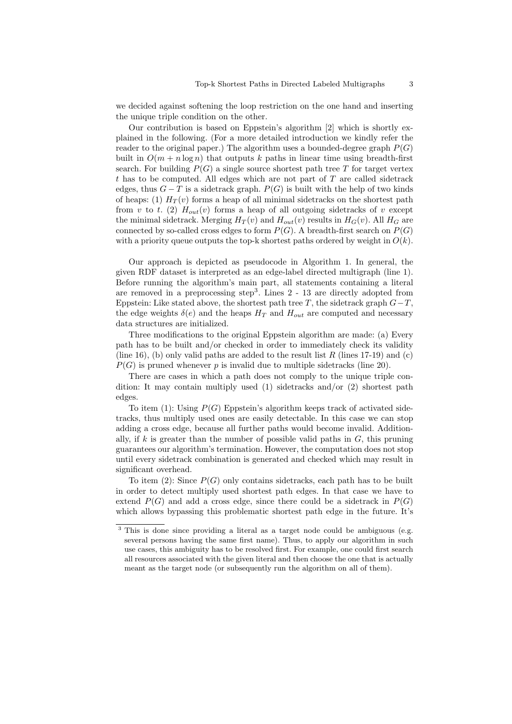we decided against softening the loop restriction on the one hand and inserting the unique triple condition on the other.

Our contribution is based on Eppstein's algorithm [2] which is shortly explained in the following. (For a more detailed introduction we kindly refer the reader to the original paper.) The algorithm uses a bounded-degree graph  $P(G)$ built in  $O(m + n \log n)$  that outputs k paths in linear time using breadth-first search. For building  $P(G)$  a single source shortest path tree T for target vertex  $t$  has to be computed. All edges which are not part of  $T$  are called sidetrack edges, thus  $G - T$  is a sidetrack graph.  $P(G)$  is built with the help of two kinds of heaps: (1)  $H_T(v)$  forms a heap of all minimal sidetracks on the shortest path from v to t. (2)  $H_{out}(v)$  forms a heap of all outgoing sidetracks of v except the minimal sidetrack. Merging  $H_T(v)$  and  $H_{out}(v)$  results in  $H_G(v)$ . All  $H_G$  are connected by so-called cross edges to form  $P(G)$ . A breadth-first search on  $P(G)$ with a priority queue outputs the top-k shortest paths ordered by weight in  $O(k)$ .

Our approach is depicted as pseudocode in Algorithm 1. In general, the given RDF dataset is interpreted as an edge-label directed multigraph (line 1). Before running the algorithm's main part, all statements containing a literal are removed in a preprocessing step<sup>3</sup>. Lines  $2 - 13$  are directly adopted from Eppstein: Like stated above, the shortest path tree  $T$ , the sidetrack graph  $G-T$ , the edge weights  $\delta(e)$  and the heaps  $H_T$  and  $H_{out}$  are computed and necessary data structures are initialized.

Three modifications to the original Eppstein algorithm are made: (a) Every path has to be built and/or checked in order to immediately check its validity (line 16), (b) only valid paths are added to the result list R (lines 17-19) and (c)  $P(G)$  is pruned whenever p is invalid due to multiple sidetracks (line 20).

There are cases in which a path does not comply to the unique triple condition: It may contain multiply used  $(1)$  sidetracks and/or  $(2)$  shortest path edges.

To item (1): Using  $P(G)$  Eppstein's algorithm keeps track of activated sidetracks, thus multiply used ones are easily detectable. In this case we can stop adding a cross edge, because all further paths would become invalid. Additionally, if k is greater than the number of possible valid paths in  $G$ , this pruning guarantees our algorithm's termination. However, the computation does not stop until every sidetrack combination is generated and checked which may result in significant overhead.

To item (2): Since  $P(G)$  only contains sidetracks, each path has to be built in order to detect multiply used shortest path edges. In that case we have to extend  $P(G)$  and add a cross edge, since there could be a sidetrack in  $P(G)$ which allows bypassing this problematic shortest path edge in the future. It's

<sup>&</sup>lt;sup>3</sup> This is done since providing a literal as a target node could be ambiguous (e.g. several persons having the same first name). Thus, to apply our algorithm in such use cases, this ambiguity has to be resolved first. For example, one could first search all resources associated with the given literal and then choose the one that is actually meant as the target node (or subsequently run the algorithm on all of them).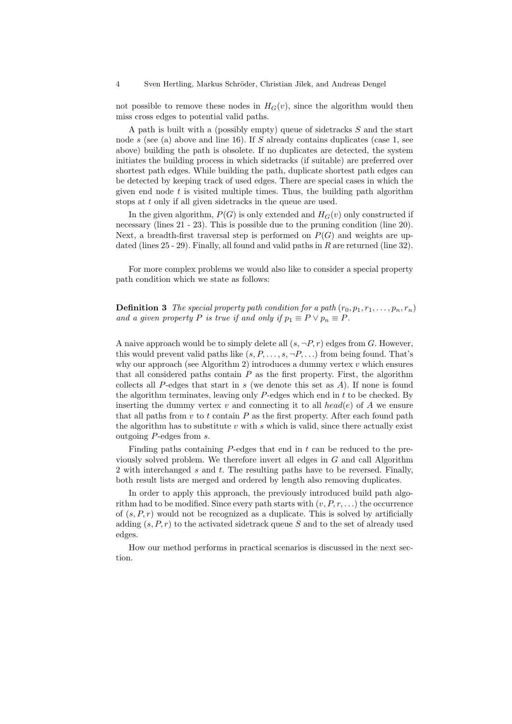not possible to remove these nodes in  $H_G(v)$ , since the algorithm would then miss cross edges to potential valid paths.

A path is built with a (possibly empty) queue of sidetracks S and the start node s (see (a) above and line 16). If S already contains duplicates (case 1, see above) building the path is obsolete. If no duplicates are detected, the system initiates the building process in which sidetracks (if suitable) are preferred over shortest path edges. While building the path, duplicate shortest path edges can be detected by keeping track of used edges. There are special cases in which the given end node  $t$  is visited multiple times. Thus, the building path algorithm stops at t only if all given sidetracks in the queue are used.

In the given algorithm,  $P(G)$  is only extended and  $H_G(v)$  only constructed if necessary (lines 21 - 23). This is possible due to the pruning condition (line 20). Next, a breadth-first traversal step is performed on  $P(G)$  and weights are updated (lines 25 - 29). Finally, all found and valid paths in R are returned (line 32).

For more complex problems we would also like to consider a special property path condition which we state as follows:

**Definition 3** The special property path condition for a path  $(r_0, p_1, r_1, \ldots, p_n, r_n)$ and a given property P is true if and only if  $p_1 \equiv P \vee p_n \equiv P$ .

A naive approach would be to simply delete all  $(s, \neg P, r)$  edges from G. However, this would prevent valid paths like  $(s, P, \ldots, s, \neg P, \ldots)$  from being found. That's why our approach (see Algorithm 2) introduces a dummy vertex  $v$  which ensures that all considered paths contain  $P$  as the first property. First, the algorithm collects all  $P$ -edges that start in s (we denote this set as  $A$ ). If none is found the algorithm terminates, leaving only  $P$ -edges which end in t to be checked. By inserting the dummy vertex v and connecting it to all head(e) of A we ensure that all paths from  $v$  to  $t$  contain  $P$  as the first property. After each found path the algorithm has to substitute  $v$  with  $s$  which is valid, since there actually exist outgoing P-edges from s.

Finding paths containing  $P$ -edges that end in t can be reduced to the previously solved problem. We therefore invert all edges in G and call Algorithm 2 with interchanged s and t. The resulting paths have to be reversed. Finally, both result lists are merged and ordered by length also removing duplicates.

In order to apply this approach, the previously introduced build path algorithm had to be modified. Since every path starts with  $(v, P, r, \ldots)$  the occurrence of  $(s, P, r)$  would not be recognized as a duplicate. This is solved by artificially adding  $(s, P, r)$  to the activated sidetrack queue S and to the set of already used edges.

How our method performs in practical scenarios is discussed in the next section.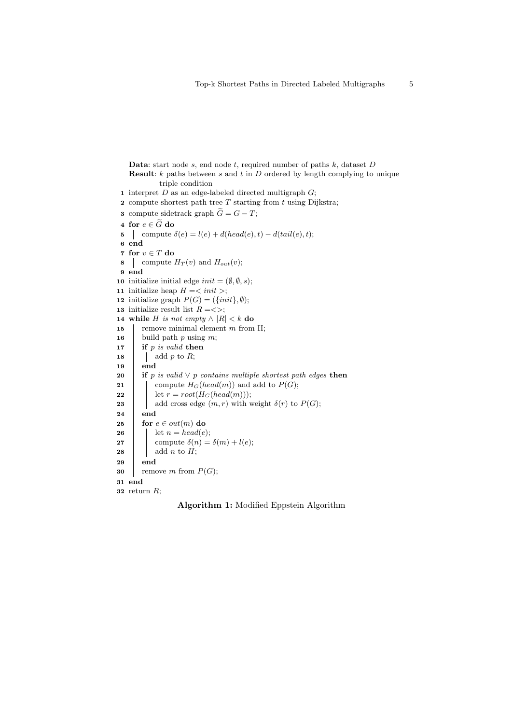```
Data: start node s, end node t, required number of paths k, dataset DResult: k paths between s and t in D ordered by length complying to unique
            triple condition
 1 interpret D as an edge-labeled directed multigraph G;
 2 compute shortest path tree T starting from t using Dijkstra;
 3 compute sidetrack graph \widetilde{G} = G - T;
 4 for e \in \widetilde{G} do<br>5 | compute
    compute \delta(e) = l(e) + d(head(e), t) - d(tail(e), t);6 end
 7 for v \in T do
 8 compute H_T(v) and H_{out}(v);
 9 end
10 initialize initial edge init = (\emptyset, \emptyset, s);11 initialize heap H = \langle init \rangle;12 initialize graph P(G) = (\{init\}, \emptyset);13 initialize result list R = \langle \rangle;14 while H is not empty \wedge |R| < k do
15 | remove minimal element m from H;
16 build path p using m;
17 if p is valid then
18 \parallel add p to R;
19 end
20 if p is valid \vee p contains multiple shortest path edges then
21 \ \ compute H_G(head(m)) and add to P(G);
22 det r = root(H_G(head(m)));
23 add cross edge (m, r) with weight \delta(r) to P(G);
24 end
25 for e \in out(m) do
26 | let n = head(e);27 compute \delta(n) = \delta(m) + l(e);28 add n to H;
29 end
30 remove m from P(G);
31 end
32 return R;
```
Algorithm 1: Modified Eppstein Algorithm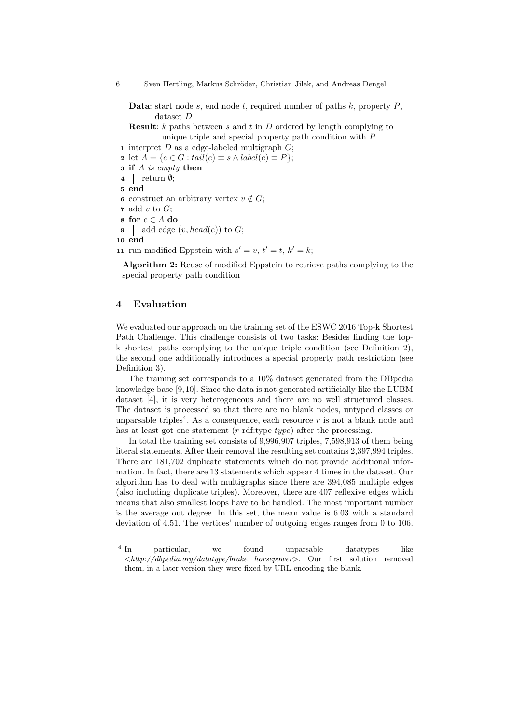6 Sven Hertling, Markus Schröder, Christian Jilek, and Andreas Dengel

**Data:** start node s, end node t, required number of paths  $k$ , property  $P$ , dataset D

**Result:**  $k$  paths between  $s$  and  $t$  in  $D$  ordered by length complying to unique triple and special property path condition with P

1 interpret  $D$  as a edge-labeled multigraph  $G$ ;

2 let  $A = \{e \in G : tail(e) \equiv s \land label(e) \equiv P\};\$ 

- 3 if A is empty then
- $4 \mid \text{return } \emptyset;$
- 5 end
- 6 construct an arbitrary vertex  $v \notin G$ ;
- 7 add v to  $G$ ;
- 8 for  $e \in A$  do
- 9 add edge  $(v, head(e))$  to G;
- 10 end
- 11 run modified Eppstein with  $s' = v, t' = t, k' = k;$

Algorithm 2: Reuse of modified Eppstein to retrieve paths complying to the special property path condition

#### 4 Evaluation

We evaluated our approach on the training set of the ESWC 2016 Top-k Shortest Path Challenge. This challenge consists of two tasks: Besides finding the topk shortest paths complying to the unique triple condition (see Definition 2), the second one additionally introduces a special property path restriction (see Definition 3).

The training set corresponds to a 10% dataset generated from the DBpedia knowledge base [9,10]. Since the data is not generated artificially like the LUBM dataset [4], it is very heterogeneous and there are no well structured classes. The dataset is processed so that there are no blank nodes, untyped classes or unparsable triples<sup>4</sup>. As a consequence, each resource  $r$  is not a blank node and has at least got one statement  $(r \text{ rdf: type } type)$  after the processing.

In total the training set consists of 9,996,907 triples, 7,598,913 of them being literal statements. After their removal the resulting set contains 2,397,994 triples. There are 181,702 duplicate statements which do not provide additional information. In fact, there are 13 statements which appear 4 times in the dataset. Our algorithm has to deal with multigraphs since there are 394,085 multiple edges (also including duplicate triples). Moreover, there are 407 reflexive edges which means that also smallest loops have to be handled. The most important number is the average out degree. In this set, the mean value is 6.03 with a standard deviation of 4.51. The vertices' number of outgoing edges ranges from 0 to 106.

 $\frac{1}{4}$  In particular, we found unparsable datatypes like <http://dbpedia.org/datatype/brake horsepower>. Our first solution removed them, in a later version they were fixed by URL-encoding the blank.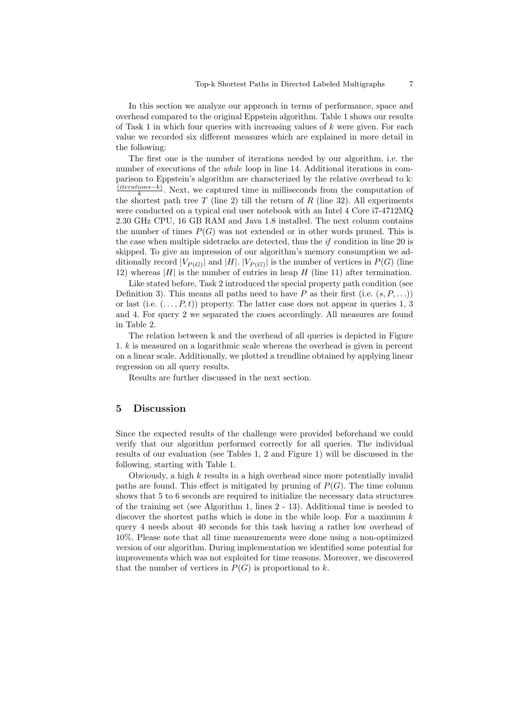In this section we analyze our approach in terms of performance, space and overhead compared to the original Eppstein algorithm. Table 1 shows our results of Task 1 in which four queries with increasing values of  $k$  were given. For each value we recorded six different measures which are explained in more detail in the following:

The first one is the number of iterations needed by our algorithm, i.e. the number of executions of the *while* loop in line 14. Additional iterations in comparison to Eppstein's algorithm are characterized by the relative overhead to k:  $(iterations-k)$  $\frac{loss - \kappa}{k}$ . Next, we captured time in milliseconds from the computation of the shortest path tree T (line 2) till the return of R (line 32). All experiments were conducted on a typical end user notebook with an Intel 4 Core i7-4712MQ 2.30 GHz CPU, 16 GB RAM and Java 1.8 installed. The next column contains the number of times  $P(G)$  was not extended or in other words pruned. This is the case when multiple sidetracks are detected, thus the  $if$  condition in line 20 is skipped. To give an impression of our algorithm's memory consumption we additionally record  $|V_{P(G)}|$  and  $|H|$ .  $|V_{P(G)}|$  is the number of vertices in  $P(G)$  (line 12) whereas  $|H|$  is the number of entries in heap H (line 11) after termination.

Like stated before, Task 2 introduced the special property path condition (see Definition 3). This means all paths need to have P as their first (i.e.  $(s, P, \ldots)$ ) or last (i.e.  $(\ldots, P, t)$ ) property. The latter case does not appear in queries 1, 3 and 4. For query 2 we separated the cases accordingly. All measures are found in Table 2.

The relation between k and the overhead of all queries is depicted in Figure 1.  $k$  is measured on a logarithmic scale whereas the overhead is given in percent on a linear scale. Additionally, we plotted a trendline obtained by applying linear regression on all query results.

Results are further discussed in the next section.

# 5 Discussion

Since the expected results of the challenge were provided beforehand we could verify that our algorithm performed correctly for all queries. The individual results of our evaluation (see Tables 1, 2 and Figure 1) will be discussed in the following, starting with Table 1.

Obviously, a high  $k$  results in a high overhead since more potentially invalid paths are found. This effect is mitigated by pruning of  $P(G)$ . The time column shows that 5 to 6 seconds are required to initialize the necessary data structures of the training set (see Algorithm 1, lines 2 - 13). Additional time is needed to discover the shortest paths which is done in the while loop. For a maximum  $k$ query 4 needs about 40 seconds for this task having a rather low overhead of 10%. Please note that all time measurements were done using a non-optimized version of our algorithm. During implementation we identified some potential for improvements which was not exploited for time reasons. Moreover, we discovered that the number of vertices in  $P(G)$  is proportional to k.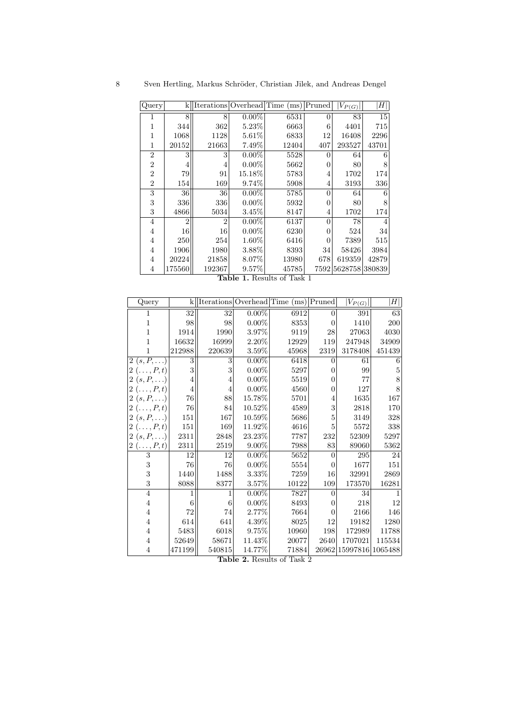| Query          | k              |                |          | Iterations Overhead Time (ms) Pruned |          | $ V_{P(G)} $   | H     |
|----------------|----------------|----------------|----------|--------------------------------------|----------|----------------|-------|
|                | 8              | 8              | $0.00\%$ | 6531                                 | $\Omega$ | 83             | 15    |
| 1              | 344            | 362            | $5.23\%$ | 6663                                 | 6        | 4401           | 715   |
| 1              | 1068           | 1128           | 5.61%    | 6833                                 | 12       | 16408          | 2296  |
| 1              | 20152          | 21663          | 7.49%    | 12404                                | 407      | 293527         | 43701 |
| $\overline{2}$ | 3              | 3              | $0.00\%$ | 5528                                 | 0        | 64             | 6     |
| $\overline{2}$ | 4              | 4              | $0.00\%$ | 5662                                 | 0        | 80             | 8     |
| $\overline{2}$ | 79             | 91             | 15.18%   | 5783                                 | 4        | 1702           | 174   |
| $\overline{2}$ | 154            | 169            | 9.74%    | 5908                                 | 4        | 3193           | 336   |
| 3              | 36             | 36             | $0.00\%$ | 5785                                 | $\theta$ | 64             | 6     |
| 3              | 336            | 336            | $0.00\%$ | 5932                                 | 0        | 80             | 8     |
| 3              | 4866           | 5034           | 3.45%    | 8147                                 | 4        | 1702           | 174   |
| 4              | $\overline{2}$ | $\overline{2}$ | $0.00\%$ | 6137                                 | $\theta$ | 78             | 4     |
| 4              | 16             | 16             | $0.00\%$ | 6230                                 | 0        | 524            | 34    |
| $\overline{4}$ | 250            | 254            | 1.60%    | 6416                                 | 0        | 7389           | 515   |
| $\overline{4}$ | 1906           | 1980           | 3.88%    | 8393                                 | 34       | 58426          | 3984  |
| 4              | 20224          | 21858          | 8.07%    | 13980                                | 678      | 619359         | 42879 |
| 4              | 175560         | 192367         | 9.57%    | 45785                                | 7592     | 5628758 380839 |       |

Table 1. Results of Task 1

| Query             | k              |                |          | Iterations Overhead Time (ms) Pruned |                | $ V_{P(\underline{G})} $ | H      |
|-------------------|----------------|----------------|----------|--------------------------------------|----------------|--------------------------|--------|
| 1                 | 32             | 32             | $0.00\%$ | 6912                                 | $\overline{0}$ | 391                      | 63     |
| $\mathbf{1}$      | 98             | 98             | $0.00\%$ | 8353                                 | $\overline{0}$ | 1410                     | 200    |
| 1                 | 1914           | 1990           | 3.97%    | 9119                                 | $\,28$         | 27063                    | 4030   |
| 1                 | 16632          | 16999          | $2.20\%$ | 12929                                | 119            | 247948                   | 34909  |
| 1                 | 212988         | 220639         | $3.59\%$ | 45968                                | 2319           | 3178408                  | 451439 |
| $2(s, P, \ldots)$ | 3              | 3              | $0.00\%$ | 6418                                 | $\overline{0}$ | 61                       | 6      |
| $2(\ldots,P,t)$   | 3              | 3              | $0.00\%$ | 5297                                 | 0              | 99                       | 5      |
| $2(s, P, \ldots)$ | $\overline{4}$ | $\overline{4}$ | $0.00\%$ | 5519                                 | $\Omega$       | 77                       | 8      |
| $2(\ldots,P,t)$   | $\overline{4}$ | 4              | $0.00\%$ | 4560                                 | $\overline{0}$ | 127                      | 8      |
| $2(s, P, \ldots)$ | 76             | 88             | 15.78%   | 5701                                 | 4              | 1635                     | 167    |
| $2(\ldots,P,t)$   | 76             | 84             | 10.52%   | 4589                                 | 3              | 2818                     | 170    |
| $2(s, P, \ldots)$ | 151            | 167            | 10.59%   | 5686                                 | 5              | 3149                     | 328    |
| $2(\ldots,P,t)$   | 151            | 169            | 11.92%   | 4616                                 | 5              | 5572                     | 338    |
| $2(s, P, \ldots)$ | 2311           | 2848           | 23.23%   | 7787                                 | 232            | 52309                    | 5297   |
| $2(\ldots,P,t)$   | 2311           | 2519           | $9.00\%$ | 7988                                 | 83             | 89060                    | 5362   |
| $\boldsymbol{3}$  | 12             | 12             | $0.00\%$ | 5652                                 | $\overline{0}$ | 295                      | 24     |
| $\sqrt{3}$        | 76             | 76             | $0.00\%$ | 5554                                 | $\overline{0}$ | 1677                     | 151    |
| 3                 | 1440           | 1488           | $3.33\%$ | 7259                                 | 16             | 32991                    | 2869   |
| 3                 | 8088           | 8377           | $3.57\%$ | 10122                                | 109            | 173570                   | 16281  |
| $\overline{4}$    | 1              | 1              | $0.00\%$ | 7827                                 | $\overline{0}$ | 34                       |        |
| $\overline{4}$    | 6              | 6              | $0.00\%$ | 8493                                 | $\overline{0}$ | 218                      | 12     |
| $\overline{4}$    | 72             | 74             | 2.77%    | 7664                                 | $\overline{0}$ | 2166                     | 146    |
| $\overline{4}$    | 614            | 641            | 4.39%    | 8025                                 | 12             | 19182                    | 1280   |
| $\overline{4}$    | 5483           | 6018           | 9.75%    | 10960                                | 198            | 172989                   | 11788  |
| $\overline{4}$    | 52649          | 58671          | 11.43%   | 20077                                | 2640           | 1707021                  | 115534 |
| 4                 | 471199         | 540815         | 14.77%   | 71884                                |                | 26962 15997816 1065488   |        |

Table 2. Results of Task 2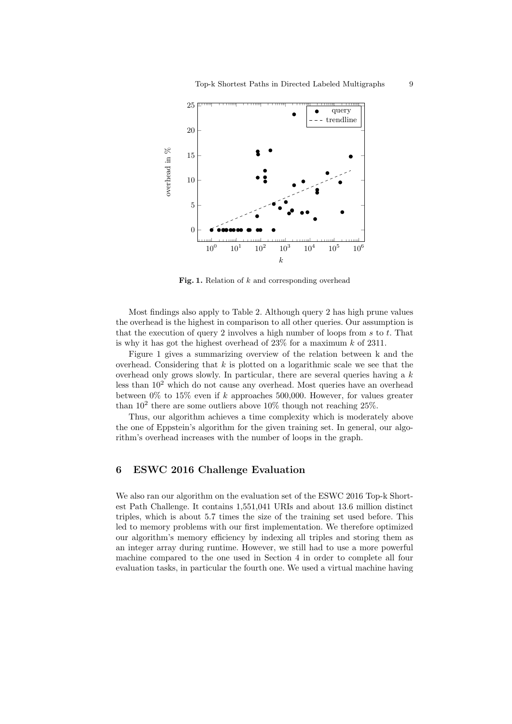

Fig. 1. Relation of  $k$  and corresponding overhead

Most findings also apply to Table 2. Although query 2 has high prune values the overhead is the highest in comparison to all other queries. Our assumption is that the execution of query 2 involves a high number of loops from  $s$  to  $t$ . That is why it has got the highest overhead of  $23\%$  for a maximum k of 2311.

Figure 1 gives a summarizing overview of the relation between k and the overhead. Considering that  $k$  is plotted on a logarithmic scale we see that the overhead only grows slowly. In particular, there are several queries having a  $k$ less than  $10^2$  which do not cause any overhead. Most queries have an overhead between  $0\%$  to  $15\%$  even if k approaches 500,000. However, for values greater than  $10^2$  there are some outliers above  $10\%$  though not reaching  $25\%$ .

Thus, our algorithm achieves a time complexity which is moderately above the one of Eppstein's algorithm for the given training set. In general, our algorithm's overhead increases with the number of loops in the graph.

### 6 ESWC 2016 Challenge Evaluation

We also ran our algorithm on the evaluation set of the ESWC 2016 Top-k Shortest Path Challenge. It contains 1,551,041 URIs and about 13.6 million distinct triples, which is about 5.7 times the size of the training set used before. This led to memory problems with our first implementation. We therefore optimized our algorithm's memory efficiency by indexing all triples and storing them as an integer array during runtime. However, we still had to use a more powerful machine compared to the one used in Section 4 in order to complete all four evaluation tasks, in particular the fourth one. We used a virtual machine having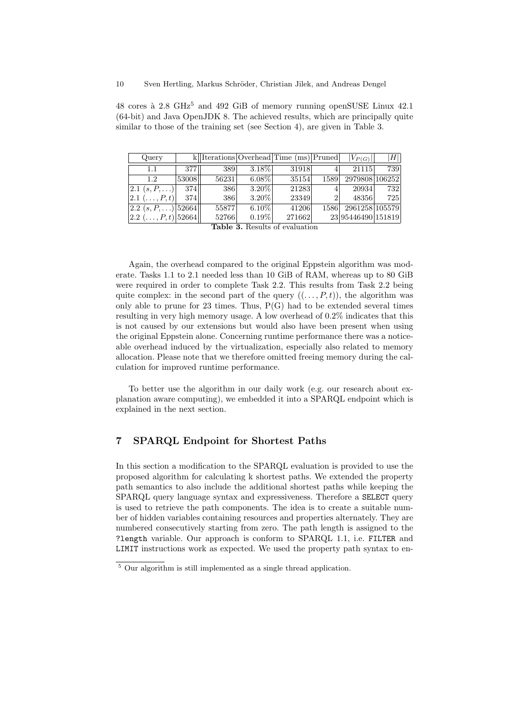48 cores à 2.8 GHz<sup>5</sup> and 492 GiB of memory running openSUSE Linux 42.1 (64-bit) and Java OpenJDK 8. The achieved results, which are principally quite similar to those of the training set (see Section 4), are given in Table 3.

| Query                             |       |                               |                                      | $k$   Iterations Overhead Time (ms) Pruned |                | $ V_{P(G)} $       | $\left\vert H\right\vert \right\vert$ |
|-----------------------------------|-------|-------------------------------|--------------------------------------|--------------------------------------------|----------------|--------------------|---------------------------------------|
| 1.1                               | 377   | 389                           | $3.18\%$                             | 31918                                      | 41             | 21115              | 739                                   |
| 12                                | 53008 | 56231                         | $6.08\%$                             | 35154                                      | 1589           | 2979808 106252     |                                       |
| $ 2.1 (s, P, \ldots) $            | 374   | 386                           | $3.20\%$                             | 21283                                      | 4'             | 20934              | 732                                   |
| $ 2.1 \; (\ldots, P, t) $         | 374   | 386                           | $3.20\%$                             | 23349                                      | $\overline{2}$ | 48356              | 725                                   |
| $ 2.2 (s, P, \ldots) 52664  $     |       | 558771                        | $6.10\%$                             | 41206                                      | 1586           | 2961258 105579     |                                       |
| $ 2.2 \, (\ldots, P, t)  52664  $ |       | 52766<br>$\sim$ $\sim$ $\sim$ | $0.19\%$<br>$\sim$<br>$\blacksquare$ | 271662                                     |                | 23 95446490 151819 |                                       |

Table 3. Results of evaluation

Again, the overhead compared to the original Eppstein algorithm was moderate. Tasks 1.1 to 2.1 needed less than 10 GiB of RAM, whereas up to 80 GiB were required in order to complete Task 2.2. This results from Task 2.2 being quite complex: in the second part of the query  $((\ldots, P, t))$ , the algorithm was only able to prune for  $23$  times. Thus,  $P(G)$  had to be extended several times resulting in very high memory usage. A low overhead of 0.2% indicates that this is not caused by our extensions but would also have been present when using the original Eppstein alone. Concerning runtime performance there was a noticeable overhead induced by the virtualization, especially also related to memory allocation. Please note that we therefore omitted freeing memory during the calculation for improved runtime performance.

To better use the algorithm in our daily work (e.g. our research about explanation aware computing), we embedded it into a SPARQL endpoint which is explained in the next section.

### 7 SPARQL Endpoint for Shortest Paths

In this section a modification to the SPARQL evaluation is provided to use the proposed algorithm for calculating k shortest paths. We extended the property path semantics to also include the additional shortest paths while keeping the SPARQL query language syntax and expressiveness. Therefore a SELECT query is used to retrieve the path components. The idea is to create a suitable number of hidden variables containing resources and properties alternately. They are numbered consecutively starting from zero. The path length is assigned to the ?length variable. Our approach is conform to SPARQL 1.1, i.e. FILTER and LIMIT instructions work as expected. We used the property path syntax to en-

<sup>5</sup> Our algorithm is still implemented as a single thread application.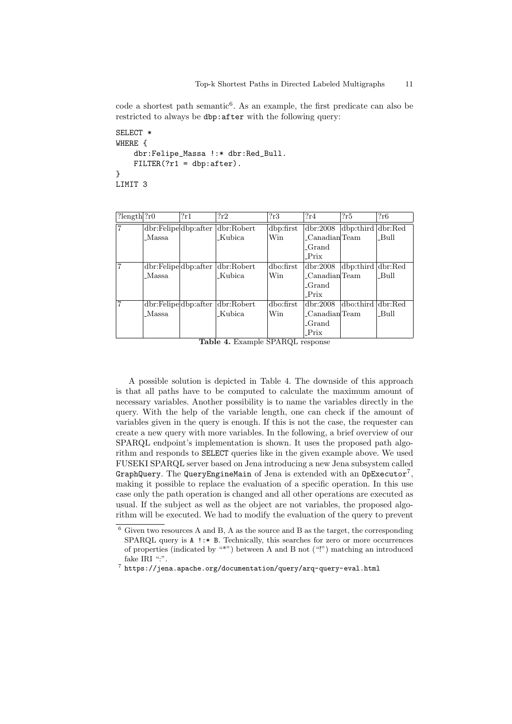code a shortest path semantic<sup>6</sup>. As an example, the first predicate can also be restricted to always be dbp:after with the following query:

```
SELECT *
WHERE {
    dbr:Felipe_Massa !:* dbr:Red_Bull.
    FILTER(?r1 = dbp:after).
}
LIMIT 3
```

| $?length$ $?r0$ |              | 2r1                                              | 2r2                              | 2r3       | 2r4                | 2r5                | ?r6  |
|-----------------|--------------|--------------------------------------------------|----------------------------------|-----------|--------------------|--------------------|------|
| 7               |              |                                                  | dbr:Felipe dbp:after dbr:Robert  | dbp:first | dbr:2008           | dbp:third dbr:Red  |      |
|                 | <b>Massa</b> |                                                  | Kubica.                          | Win       | $\_Canadian$ Team  |                    | Bull |
|                 |              |                                                  |                                  |           | _Grand             |                    |      |
|                 |              |                                                  |                                  |           | $-$ Prix           |                    |      |
| 7               |              | $dbr: \text{Felipe} \mid dbp: \text{after} \mid$ | dbr:Robert                       | dbo:first | dbr:2008           | dbp:third dbr:Red  |      |
|                 | <b>Massa</b> |                                                  | Kubica                           | Win       | Canadian Team      |                    | Bull |
|                 |              |                                                  |                                  |           | -Grand             |                    |      |
|                 |              |                                                  |                                  |           | $-$ Prix           |                    |      |
| 7               |              |                                                  | dbr:Felipe dbp:after  dbr:Robert | dbo:first | dbr:2008           | dbo:third  dbr:Red |      |
|                 | Massa        |                                                  | Kubica                           | Win       | Canadian Team      |                    | Bull |
|                 |              |                                                  |                                  |           | <sub>-</sub> Grand |                    |      |
|                 |              |                                                  |                                  |           | Prix               |                    |      |

Table 4. Example SPARQL response

A possible solution is depicted in Table 4. The downside of this approach is that all paths have to be computed to calculate the maximum amount of necessary variables. Another possibility is to name the variables directly in the query. With the help of the variable length, one can check if the amount of variables given in the query is enough. If this is not the case, the requester can create a new query with more variables. In the following, a brief overview of our SPARQL endpoint's implementation is shown. It uses the proposed path algorithm and responds to SELECT queries like in the given example above. We used FUSEKI SPARQL server based on Jena introducing a new Jena subsystem called  $\mathtt{GraphQuery}$ . The  $\mathtt{QueryEngineeringMain}$  of  $\mathtt{Jena}$  is  $\mathtt{extended}$  with an  $\mathtt{OpExecutor}^{7},$ making it possible to replace the evaluation of a specific operation. In this use case only the path operation is changed and all other operations are executed as usual. If the subject as well as the object are not variables, the proposed algorithm will be executed. We had to modify the evaluation of the query to prevent

 $^{\rm 6}$  Given two resources A and B, A as the source and B as the target, the corresponding SPARQL query is A !:\* B. Technically, this searches for zero or more occurrences of properties (indicated by "\*") between A and B not ("!") matching an introduced fake IRI ":".

 $^7$  https://jena.apache.org/documentation/query/arq-query-eval.html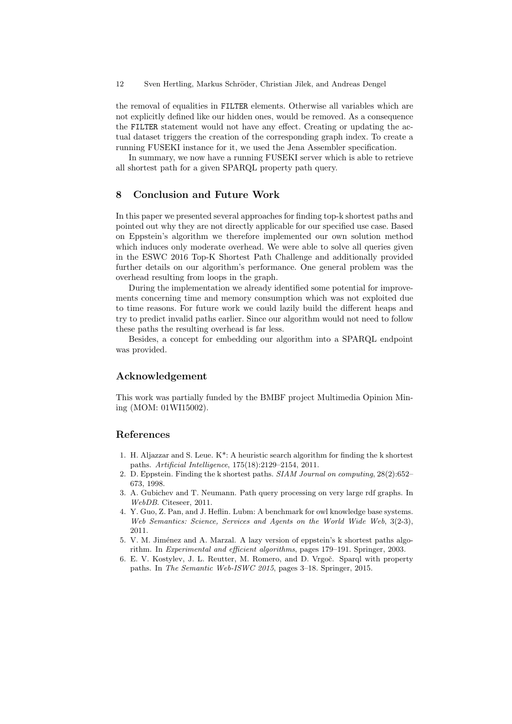the removal of equalities in FILTER elements. Otherwise all variables which are not explicitly defined like our hidden ones, would be removed. As a consequence the FILTER statement would not have any effect. Creating or updating the actual dataset triggers the creation of the corresponding graph index. To create a running FUSEKI instance for it, we used the Jena Assembler specification.

In summary, we now have a running FUSEKI server which is able to retrieve all shortest path for a given SPARQL property path query.

# 8 Conclusion and Future Work

In this paper we presented several approaches for finding top-k shortest paths and pointed out why they are not directly applicable for our specified use case. Based on Eppstein's algorithm we therefore implemented our own solution method which induces only moderate overhead. We were able to solve all queries given in the ESWC 2016 Top-K Shortest Path Challenge and additionally provided further details on our algorithm's performance. One general problem was the overhead resulting from loops in the graph.

During the implementation we already identified some potential for improvements concerning time and memory consumption which was not exploited due to time reasons. For future work we could lazily build the different heaps and try to predict invalid paths earlier. Since our algorithm would not need to follow these paths the resulting overhead is far less.

Besides, a concept for embedding our algorithm into a SPARQL endpoint was provided.

# Acknowledgement

This work was partially funded by the BMBF project Multimedia Opinion Mining (MOM: 01WI15002).

#### References

- 1. H. Aljazzar and S. Leue. K\*: A heuristic search algorithm for finding the k shortest paths. Artificial Intelligence, 175(18):2129–2154, 2011.
- 2. D. Eppstein. Finding the k shortest paths. SIAM Journal on computing, 28(2):652– 673, 1998.
- 3. A. Gubichev and T. Neumann. Path query processing on very large rdf graphs. In WebDB. Citeseer, 2011.
- 4. Y. Guo, Z. Pan, and J. Heflin. Lubm: A benchmark for owl knowledge base systems. Web Semantics: Science, Services and Agents on the World Wide Web, 3(2-3), 2011.
- 5. V. M. Jiménez and A. Marzal. A lazy version of eppstein's k shortest paths algorithm. In Experimental and efficient algorithms, pages 179–191. Springer, 2003.
- 6. E. V. Kostylev, J. L. Reutter, M. Romero, and D. Vrgoč. Sparql with property paths. In The Semantic Web-ISWC 2015, pages 3–18. Springer, 2015.